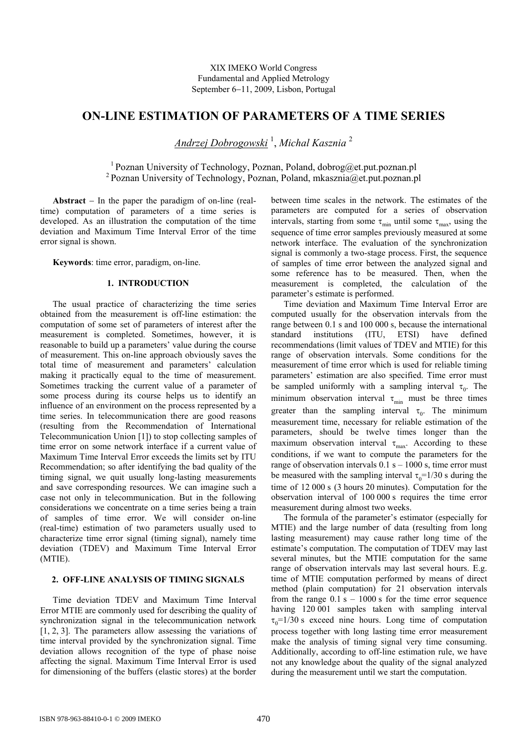# **ON-LINE ESTIMATION OF PARAMETERS OF A TIME SERIES**

*Andrzej Dobrogowski* <sup>1</sup> , *Michal Kasznia* <sup>2</sup>

<sup>1</sup> Poznan University of Technology, Poznan, Poland, dobrog@et.put.poznan.pl <sup>2</sup> Poznan University of Technology, Poznan, Poland, mkasznia $@et.put.poznan.pl$ 

**Abstract** − In the paper the paradigm of on-line (realtime) computation of parameters of a time series is developed. As an illustration the computation of the time deviation and Maximum Time Interval Error of the time error signal is shown.

**Keywords**: time error, paradigm, on-line.

#### **1. INTRODUCTION**

The usual practice of characterizing the time series obtained from the measurement is off-line estimation: the computation of some set of parameters of interest after the measurement is completed. Sometimes, however, it is reasonable to build up a parameters' value during the course of measurement. This on-line approach obviously saves the total time of measurement and parameters' calculation making it practically equal to the time of measurement. Sometimes tracking the current value of a parameter of some process during its course helps us to identify an influence of an environment on the process represented by a time series. In telecommunication there are good reasons (resulting from the Recommendation of International Telecommunication Union [1]) to stop collecting samples of time error on some network interface if a current value of Maximum Time Interval Error exceeds the limits set by ITU Recommendation; so after identifying the bad quality of the timing signal, we quit usually long-lasting measurements and save corresponding resources. We can imagine such a case not only in telecommunication. But in the following considerations we concentrate on a time series being a train of samples of time error. We will consider on-line (real-time) estimation of two parameters usually used to characterize time error signal (timing signal), namely time deviation (TDEV) and Maximum Time Interval Error (MTIE).

## **2. OFF-LINE ANALYSIS OF TIMING SIGNALS**

Time deviation TDEV and Maximum Time Interval Error MTIE are commonly used for describing the quality of synchronization signal in the telecommunication network [1, 2, 3]. The parameters allow assessing the variations of time interval provided by the synchronization signal. Time deviation allows recognition of the type of phase noise affecting the signal. Maximum Time Interval Error is used for dimensioning of the buffers (elastic stores) at the border

between time scales in the network. The estimates of the parameters are computed for a series of observation intervals, starting from some  $\tau_{min}$  until some  $\tau_{max}$ , using the sequence of time error samples previously measured at some network interface. The evaluation of the synchronization signal is commonly a two-stage process. First, the sequence of samples of time error between the analyzed signal and some reference has to be measured. Then, when the measurement is completed, the calculation of the parameter's estimate is performed.

Time deviation and Maximum Time Interval Error are computed usually for the observation intervals from the range between 0.1 s and 100 000 s, because the international standard institutions (ITU, ETSI) have defined recommendations (limit values of TDEV and MTIE) for this range of observation intervals. Some conditions for the measurement of time error which is used for reliable timing parameters' estimation are also specified. Time error must be sampled uniformly with a sampling interval  $\tau_0$ . The minimum observation interval  $\tau_{\min}$  must be three times greater than the sampling interval  $\tau_0$ . The minimum measurement time, necessary for reliable estimation of the parameters, should be twelve times longer than the maximum observation interval  $\tau_{\text{max}}$ . According to these conditions, if we want to compute the parameters for the range of observation intervals  $0.1$  s  $- 1000$  s, time error must be measured with the sampling interval  $\tau_0=1/30$  s during the time of 12 000 s (3 hours 20 minutes). Computation for the observation interval of 100 000 s requires the time error measurement during almost two weeks.

The formula of the parameter's estimator (especially for MTIE) and the large number of data (resulting from long lasting measurement) may cause rather long time of the estimate's computation. The computation of TDEV may last several minutes, but the MTIE computation for the same range of observation intervals may last several hours. E.g. time of MTIE computation performed by means of direct method (plain computation) for 21 observation intervals from the range  $0.1 s - 1000 s$  for the time error sequence having 120 001 samples taken with sampling interval  $\tau_0$ =1/30 s exceed nine hours. Long time of computation process together with long lasting time error measurement make the analysis of timing signal very time consuming. Additionally, according to off-line estimation rule, we have not any knowledge about the quality of the signal analyzed during the measurement until we start the computation.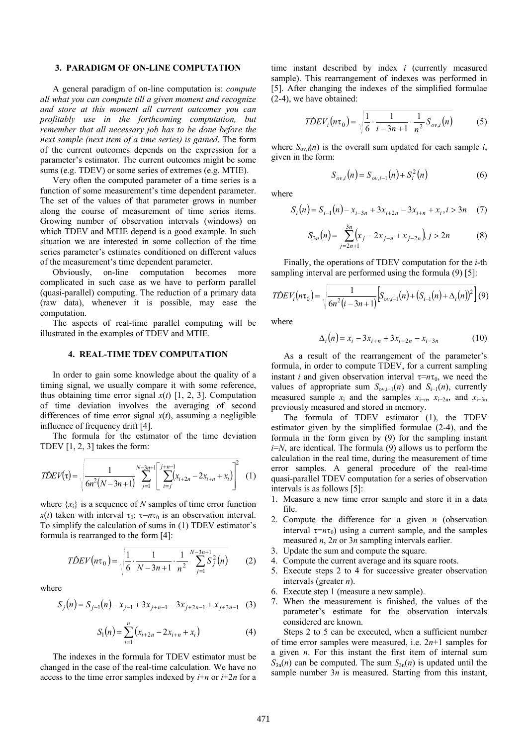#### **3. PARADIGM OF ON-LINE COMPUTATION**

A general paradigm of on-line computation is: *compute all what you can compute till a given moment and recognize and store at this moment all current outcomes you can profitably use in the forthcoming computation, but remember that all necessary job has to be done before the next sample (next item of a time series) is gained*. The form of the current outcomes depends on the expression for a parameter's estimator. The current outcomes might be some sums (e.g. TDEV) or some series of extremes (e.g. MTIE).

Very often the computed parameter of a time series is a function of some measurement's time dependent parameter. The set of the values of that parameter grows in number along the course of measurement of time series items. Growing number of observation intervals (windows) on which TDEV and MTIE depend is a good example. In such situation we are interested in some collection of the time series parameter's estimates conditioned on different values of the measurement's time dependent parameter.

Obviously, on-line computation becomes more complicated in such case as we have to perform parallel (quasi-parallel) computing. The reduction of a primary data (raw data), whenever it is possible, may ease the computation.

The aspects of real-time parallel computing will be illustrated in the examples of TDEV and MTIE.

## **4. REAL-TIME TDEV COMPUTATION**

In order to gain some knowledge about the quality of a timing signal, we usually compare it with some reference, thus obtaining time error signal  $x(t)$  [1, 2, 3]. Computation of time deviation involves the averaging of second differences of time error signal  $x(t)$ , assuming a negligible influence of frequency drift [4].

The formula for the estimator of the time deviation TDEV  $[1, 2, 3]$  takes the form:

$$
TDEV(\tau) = \sqrt{\frac{1}{6n^2(N-3n+1)} \sum_{j=1}^{N-3n+1} \left[ \sum_{i=j}^{j+n-1} (x_{i+2n} - 2x_{i+n} + x_i) \right]^2} \tag{1}
$$

where  $\{x_i\}$  is a sequence of *N* samples of time error function *x*(*t*) taken with interval  $\tau_0$ ;  $\tau = n\tau_0$  is an observation interval. To simplify the calculation of sums in (1) TDEV estimator's formula is rearranged to the form [4]:

$$
T\hat{D}EV(n\tau_0) = \sqrt{\frac{1}{6} \cdot \frac{1}{N-3n+1} \cdot \frac{1}{n^2} \sum_{j=1}^{N-3n+1} S_j^2(n)}
$$
 (2)

where

$$
S_j(n) = S_{j-1}(n) - x_{j-1} + 3x_{j+n-1} - 3x_{j+2n-1} + x_{j+3n-1} \quad (3)
$$

$$
S_1(n) = \sum_{i=1}^{n} (x_{i+2n} - 2x_{i+n} + x_i)
$$
 (4)

The indexes in the formula for TDEV estimator must be changed in the case of the real-time calculation. We have no access to the time error samples indexed by  $i+n$  or  $i+2n$  for a time instant described by index *i* (currently measured sample). This rearrangement of indexes was performed in [5]. After changing the indexes of the simplified formulae (2-4), we have obtained:

$$
T\hat{D}EV_i(n\tau_0) = \sqrt{\frac{1}{6} \cdot \frac{1}{i - 3n + 1} \cdot \frac{1}{n^2} S_{ov,i}(n)}
$$
(5)

where  $S_{\text{ov},i}(n)$  is the overall sum updated for each sample *i*, given in the form:

$$
S_{ov,i}(n) = S_{ov,i-1}(n) + S_i^2(n)
$$
 (6)

where

$$
S_i(n) = S_{i-1}(n) - x_{i-3n} + 3x_{i+2n} - 3x_{i+n} + x_i, i > 3n \quad (7)
$$

$$
S_{3n}(n) = \sum_{j=2n+1}^{3n} \left( x_j - 2x_{j-n} + x_{j-2n} \right) j > 2n \tag{8}
$$

Finally, the operations of TDEV computation for the *i*-th sampling interval are performed using the formula (9) [5]:

$$
T\hat{D}EV_i(n\tau_0) = \sqrt{\frac{1}{6n^2(i-3n+1)}\Big[S_{ov,i-1}(n) + (S_{i-1}(n) + \Delta_i(n))^2\Big]} (9)
$$

where

$$
\Delta_i(n) = x_i - 3x_{i+n} + 3x_{i+2n} - x_{i-3n} \tag{10}
$$

As a result of the rearrangement of the parameter's formula, in order to compute TDEV, for a current sampling instant *i* and given observation interval  $\tau = n\tau_0$ , we need the values of appropriate sum  $S_{\text{ov}}$ <sub>i−1</sub>(*n*) and  $S_{\text{i}-1}(n)$ , currently measured sample  $x_i$  and the samples  $x_{i-n}$ ,  $x_{i-2n}$ , and  $x_{i-3n}$ previously measured and stored in memory.

The formula of TDEV estimator (1), the TDEV estimator given by the simplified formulae (2-4), and the formula in the form given by (9) for the sampling instant *i*=*N*, are identical. The formula (9) allows us to perform the calculation in the real time, during the measurement of time error samples. A general procedure of the real-time quasi-parallel TDEV computation for a series of observation intervals is as follows [5]:

- 1. Measure a new time error sample and store it in a data file.
- 2. Compute the difference for a given *n* (observation interval  $\tau = n\tau_0$ ) using a current sample, and the samples measured *n*, 2*n* or 3*n* sampling intervals earlier.
- 3. Update the sum and compute the square.
- 4. Compute the current average and its square roots.
- 5. Execute steps 2 to 4 for successive greater observation intervals (greater *n*).
- 6. Execute step 1 (measure a new sample).
- 7. When the measurement is finished, the values of the parameter's estimate for the observation intervals considered are known.

Steps 2 to 5 can be executed, when a sufficient number of time error samples were measured, i.e. 2*n*+1 samples for a given *n*. For this instant the first item of internal sum  $S_{3n}(n)$  can be computed. The sum  $S_{3n}(n)$  is updated until the sample number  $3n$  is measured. Starting from this instant,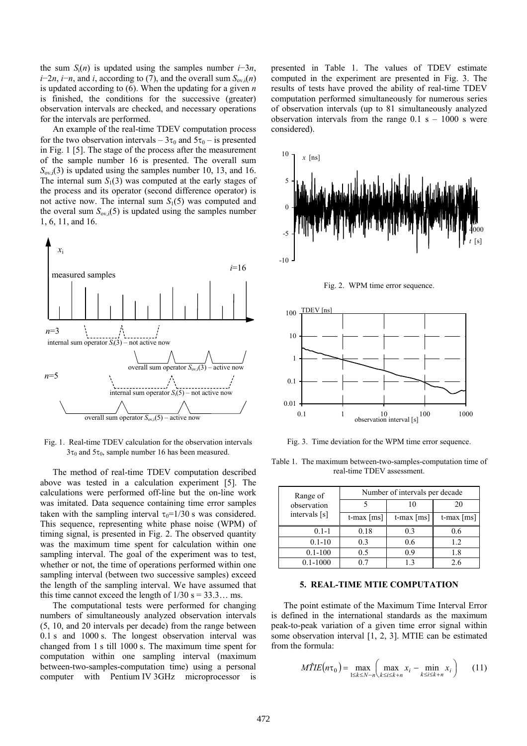the sum  $S_i(n)$  is updated using the samples number *i*−3*n*, *i*−2*n*, *i*−*n*, and *i*, according to (7), and the overall sum  $S_{\text{ov,i}}(n)$ is updated according to (6). When the updating for a given *n* is finished, the conditions for the successive (greater) observation intervals are checked, and necessary operations for the intervals are performed.

An example of the real-time TDEV computation process for the two observation intervals –  $3\tau_0$  and  $5\tau_0$  – is presented in Fig. 1 [5]. The stage of the process after the measurement of the sample number 16 is presented. The overall sum  $S_{\text{ov},i}(3)$  is updated using the samples number 10, 13, and 16. The internal sum  $S_1(3)$  was computed at the early stages of the process and its operator (second difference operator) is not active now. The internal sum *S*1(5) was computed and the overal sum  $S_{\text{ov},i}(5)$  is updated using the samples number 1, 6, 11, and 16.



Fig. 1. Real-time TDEV calculation for the observation intervals  $3\tau_0$  and  $5\tau_0$ , sample number 16 has been measured.

The method of real-time TDEV computation described above was tested in a calculation experiment [5]. The calculations were performed off-line but the on-line work was imitated. Data sequence containing time error samples taken with the sampling interval  $\tau_0=1/30$  s was considered. This sequence, representing white phase noise (WPM) of timing signal, is presented in Fig. 2. The observed quantity was the maximum time spent for calculation within one sampling interval. The goal of the experiment was to test, whether or not, the time of operations performed within one sampling interval (between two successive samples) exceed the length of the sampling interval. We have assumed that this time cannot exceed the length of  $1/30$  s = 33.3... ms.

The computational tests were performed for changing numbers of simultaneously analyzed observation intervals (5, 10, and 20 intervals per decade) from the range between 0.1 s and 1000 s. The longest observation interval was changed from 1 s till 1000 s. The maximum time spent for computation within one sampling interval (maximum between-two-samples-computation time) using a personal computer with Pentium IV 3GHz microprocessor is

presented in Table 1. The values of TDEV estimate computed in the experiment are presented in Fig. 3. The results of tests have proved the ability of real-time TDEV computation performed simultaneously for numerous series of observation intervals (up to 81 simultaneously analyzed observation intervals from the range  $0.1 \text{ s} - 1000 \text{ s}$  were considered).



Fig. 2. WPM time error sequence.



Fig. 3. Time deviation for the WPM time error sequence.

Table 1. The maximum between-two-samples-computation time of real-time TDEV assessment.

| Range of<br>observation<br>intervals [s] | Number of intervals per decade |                          |                          |  |
|------------------------------------------|--------------------------------|--------------------------|--------------------------|--|
|                                          |                                | 10                       | 20                       |  |
|                                          | $t$ -max $[ms]$                | t-max $\lceil ms \rceil$ | t-max $\lceil ms \rceil$ |  |
| $0.1 - 1$                                | 0.18                           | 0.3                      | 0.6                      |  |
| $0.1 - 10$                               | 0.3                            | 0.6                      | 1.2                      |  |
| $0.1 - 100$                              | 0.5                            | 09                       | 1.8                      |  |
| $0.1 - 1000$                             |                                | 13                       | 26                       |  |

#### **5. REAL-TIME MTIE COMPUTATION**

The point estimate of the Maximum Time Interval Error is defined in the international standards as the maximum peak-to-peak variation of a given time error signal within some observation interval [1, 2, 3]. MTIE can be estimated from the formula:

$$
M\hat{I}IE(n\tau_0) = \max_{1 \le k \le N-n} \left( \max_{k \le i \le k+n} x_i - \min_{k \le i \le k+n} x_i \right) \qquad (11)
$$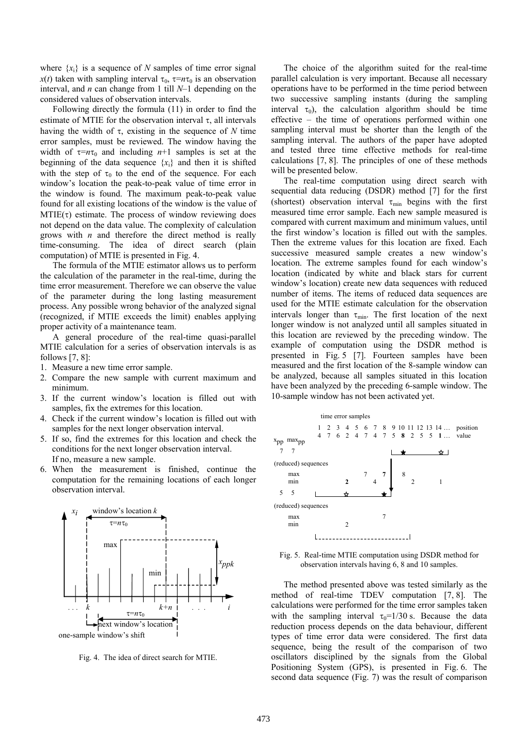where  $\{x_i\}$  is a sequence of *N* samples of time error signal  $x(t)$  taken with sampling interval  $\tau_0$ ,  $\tau = n\tau_0$  is an observation interval, and *n* can change from 1 till *N*–1 depending on the considered values of observation intervals.

Following directly the formula (11) in order to find the estimate of MTIE for the observation interval  $\tau$ , all intervals having the width of  $\tau$ , existing in the sequence of *N* time error samples, must be reviewed. The window having the width of  $\tau = n\tau_0$  and including  $n+1$  samples is set at the beginning of the data sequence  $\{x_i\}$  and then it is shifted with the step of  $\tau_0$  to the end of the sequence. For each window's location the peak-to-peak value of time error in the window is found. The maximum peak-to-peak value found for all existing locations of the window is the value of  $MTIE(\tau)$  estimate. The process of window reviewing does not depend on the data value. The complexity of calculation grows with *n* and therefore the direct method is really time-consuming. The idea of direct search (plain computation) of MTIE is presented in Fig. 4.

The formula of the MTIE estimator allows us to perform the calculation of the parameter in the real-time, during the time error measurement. Therefore we can observe the value of the parameter during the long lasting measurement process. Any possible wrong behavior of the analyzed signal (recognized, if MTIE exceeds the limit) enables applying proper activity of a maintenance team.

A general procedure of the real-time quasi-parallel MTIE calculation for a series of observation intervals is as follows  $[7, 8]$ :

- 1. Measure a new time error sample.
- 2. Compare the new sample with current maximum and minimum.
- 3. If the current window's location is filled out with samples, fix the extremes for this location.
- 4. Check if the current window's location is filled out with samples for the next longer observation interval.
- 5. If so, find the extremes for this location and check the conditions for the next longer observation interval. If no, measure a new sample.
- 6. When the measurement is finished, continue the computation for the remaining locations of each longer observation interval.



Fig. 4. The idea of direct search for MTIE.

The choice of the algorithm suited for the real-time parallel calculation is very important. Because all necessary operations have to be performed in the time period between two successive sampling instants (during the sampling interval  $\tau_0$ ), the calculation algorithm should be time effective – the time of operations performed within one sampling interval must be shorter than the length of the sampling interval. The authors of the paper have adopted and tested three time effective methods for real-time calculations [7, 8]. The principles of one of these methods will be presented below.

The real-time computation using direct search with sequential data reducing (DSDR) method [7] for the first (shortest) observation interval  $\tau_{\min}$  begins with the first measured time error sample. Each new sample measured is compared with current maximum and minimum values, until the first window's location is filled out with the samples. Then the extreme values for this location are fixed. Each successive measured sample creates a new window's location. The extreme samples found for each window's location (indicated by white and black stars for current window's location) create new data sequences with reduced number of items. The items of reduced data sequences are used for the MTIE estimate calculation for the observation intervals longer than  $\tau_{min}$ . The first location of the next longer window is not analyzed until all samples situated in this location are reviewed by the preceding window. The example of computation using the DSDR method is presented in Fig. 5 [7]. Fourteen samples have been measured and the first location of the 8-sample window can be analyzed, because all samples situated in this location have been analyzed by the preceding 6-sample window. The 10-sample window has not been activated yet.





The method presented above was tested similarly as the method of real-time TDEV computation [7, 8]. The calculations were performed for the time error samples taken with the sampling interval  $\tau_0=1/30$  s. Because the data reduction process depends on the data behaviour, different types of time error data were considered. The first data sequence, being the result of the comparison of two oscillators disciplined by the signals from the Global Positioning System (GPS), is presented in Fig. 6. The second data sequence (Fig. 7) was the result of comparison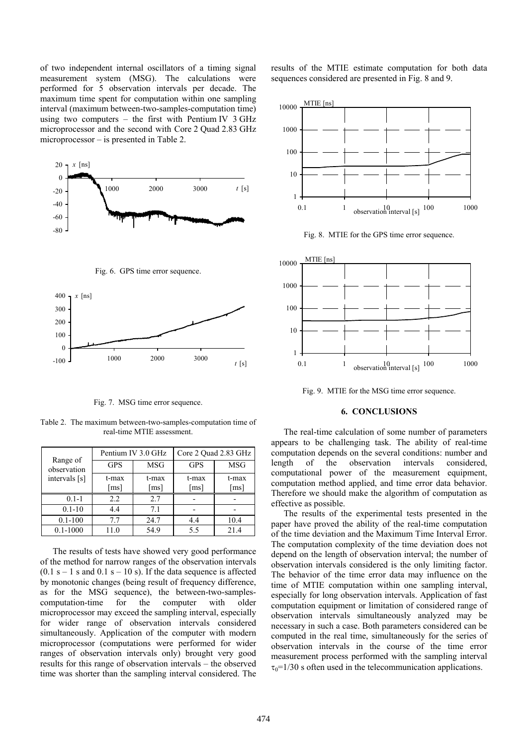of two independent internal oscillators of a timing signal measurement system (MSG). The calculations were performed for 5 observation intervals per decade. The maximum time spent for computation within one sampling interval (maximum between-two-samples-computation time) using two computers – the first with Pentium IV 3 GHz microprocessor and the second with Core 2 Quad 2.83 GHz microprocessor – is presented in Table 2.







Fig. 7. MSG time error sequence.

Table 2. The maximum between-two-samples-computation time of real-time MTIE assessment.

| Range of<br>observation | Pentium IV 3.0 GHz |            | Core 2 Quad 2.83 GHz |            |
|-------------------------|--------------------|------------|----------------------|------------|
|                         | <b>GPS</b>         | <b>MSG</b> | <b>GPS</b>           | <b>MSG</b> |
| intervals [s]           | t-max              | t-max      | t-max                | t-max      |
|                         | [ms]               | [ms]       | [ms]                 | [ms]       |
| $0.1 - 1$               | 2.2                | 2.7        |                      |            |
| $0.1 - 10$              | 4.4                | 7.1        |                      |            |
| $0.1 - 100$             | 7.7                | 24.7       | 4.4                  | 10.4       |
| $0.1 - 1000$            | 11.0               | 54.9       | 5.5                  | 21.4       |

The results of tests have showed very good performance of the method for narrow ranges of the observation intervals  $(0.1 \text{ s} - 1 \text{ s and } 0.1 \text{ s} - 10 \text{ s})$ . If the data sequence is affected by monotonic changes (being result of frequency difference, as for the MSG sequence), the between-two-samplescomputation-time for the computer with older microprocessor may exceed the sampling interval, especially for wider range of observation intervals considered simultaneously. Application of the computer with modern microprocessor (computations were performed for wider ranges of observation intervals only) brought very good results for this range of observation intervals – the observed time was shorter than the sampling interval considered. The results of the MTIE estimate computation for both data sequences considered are presented in Fig. 8 and 9.



Fig. 8. MTIE for the GPS time error sequence.



Fig. 9. MTIE for the MSG time error sequence.

## **6. CONCLUSIONS**

The real-time calculation of some number of parameters appears to be challenging task. The ability of real-time computation depends on the several conditions: number and length of the observation intervals considered, computational power of the measurement equipment, computation method applied, and time error data behavior. Therefore we should make the algorithm of computation as effective as possible.

The results of the experimental tests presented in the paper have proved the ability of the real-time computation of the time deviation and the Maximum Time Interval Error. The computation complexity of the time deviation does not depend on the length of observation interval; the number of observation intervals considered is the only limiting factor. The behavior of the time error data may influence on the time of MTIE computation within one sampling interval, especially for long observation intervals. Application of fast computation equipment or limitation of considered range of observation intervals simultaneously analyzed may be necessary in such a case. Both parameters considered can be computed in the real time, simultaneously for the series of observation intervals in the course of the time error measurement process performed with the sampling interval  $\tau_0$ =1/30 s often used in the telecommunication applications.